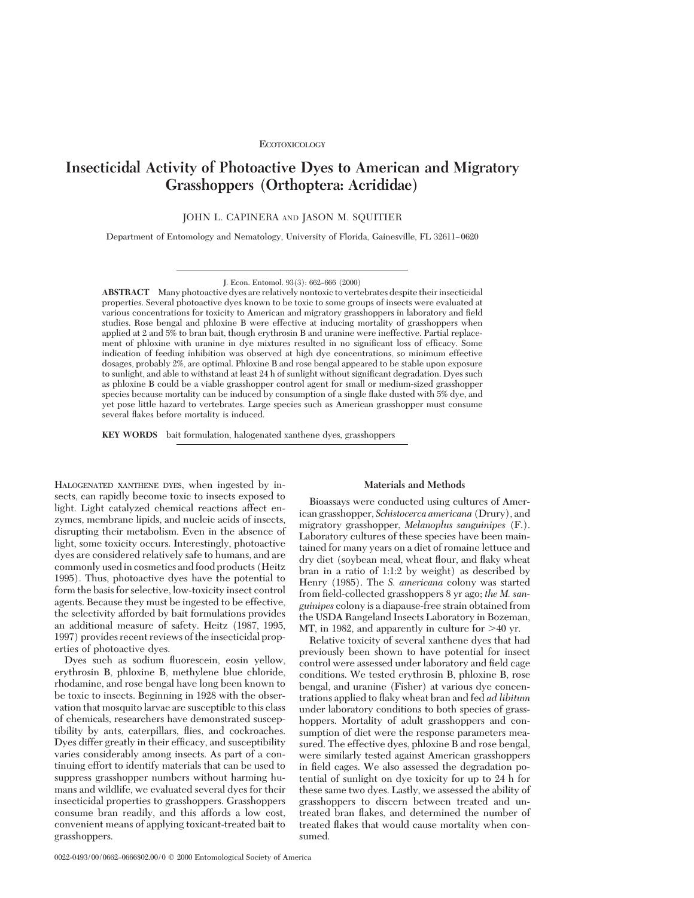# **Insecticidal Activity of Photoactive Dyes to American and Migratory Grasshoppers (Orthoptera: Acrididae)**

JOHN L. CAPINERA AND JASON M. SQUITIER

Department of Entomology and Nematology, University of Florida, Gainesville, FL 32611–0620

J. Econ. Entomol. 93(3): 662-666 (2000)

**ABSTRACT** Many photoactive dyes are relatively nontoxic to vertebrates despite their insecticidal properties. Several photoactive dyes known to be toxic to some groups of insects were evaluated at various concentrations for toxicity to American and migratory grasshoppers in laboratory and field studies. Rose bengal and phloxine B were effective at inducing mortality of grasshoppers when applied at 2 and 5% to bran bait, though erythrosin B and uranine were ineffective. Partial replacement of phloxine with uranine in dye mixtures resulted in no significant loss of efficacy. Some indication of feeding inhibition was observed at high dye concentrations, so minimum effective dosages, probably 2%, are optimal. Phloxine B and rose bengal appeared to be stable upon exposure to sunlight, and able to withstand at least 24 h of sunlight without significant degradation. Dyes such as phloxine B could be a viable grasshopper control agent for small or medium-sized grasshopper species because mortality can be induced by consumption of a single ßake dusted with 5% dye, and yet pose little hazard to vertebrates. Large species such as American grasshopper must consume several ßakes before mortality is induced.

**KEY WORDS** bait formulation, halogenated xanthene dyes, grasshoppers

HALOGENATED XANTHENE DYES, when ingested by insects, can rapidly become toxic to insects exposed to light. Light catalyzed chemical reactions affect enzymes, membrane lipids, and nucleic acids of insects, disrupting their metabolism. Even in the absence of light, some toxicity occurs. Interestingly, photoactive dyes are considered relatively safe to humans, and are commonly usedin cosmetics and food products (Heitz 1995). Thus, photoactive dyes have the potential to form the basis for selective, low-toxicity insect control agents. Because they must be ingested to be effective, the selectivity afforded by bait formulations provides an additional measure of safety. Heitz (1987, 1995, 1997) provides recent reviews of the insecticidal properties of photoactive dyes.

Dyes such as sodium ßuorescein, eosin yellow, erythrosin B, phloxine B, methylene blue chloride, rhodamine, and rose bengal have long been known to be toxic to insects. Beginning in 1928 with the observation that mosquito larvae are susceptible to this class of chemicals, researchers have demonstrated susceptibility by ants, caterpillars, ßies, and cockroaches. Dyes differ greatly in their efficacy, and susceptibility varies considerably among insects. As part of a continuing effort to identify materials that can be used to suppress grasshopper numbers without harming humans and wildlife, we evaluated several dyes for their insecticidal properties to grasshoppers. Grasshoppers consume bran readily, and this affords a low cost, convenient means of applying toxicant-treated bait to grasshoppers.

#### **Materials and Methods**

Bioassays were conducted using cultures of American grasshopper, *Schistocerca americana* (Drury), and migratory grasshopper, *Melanoplus sanguinipes* (F.). Laboratory cultures of these species have been maintained for many years on a diet of romaine lettuce and dry diet (soybean meal, wheat ßour, and ßaky wheat bran in a ratio of 1:1:2 by weight) as described by Henry (1985). The *S. americana* colony was started from field-collected grasshoppers 8 yr ago; *the M. sanguinipes* colony is a diapause-free strain obtained from the USDA Rangeland Insects Laboratory in Bozeman, MT, in 1982, and apparently in culture for  $>40$  yr.

Relative toxicity of several xanthene dyes that had previously been shown to have potential for insect control were assessed under laboratory and field cage conditions. We tested erythrosin B, phloxine B, rose bengal, and uranine (Fisher) at various dye concentrations applied to ßaky wheat bran and fed *ad libitum* under laboratory conditions to both species of grasshoppers. Mortality of adult grasshoppers and consumption of diet were the response parameters measured. The effective dyes, phloxine B and rose bengal, were similarly tested against American grasshoppers in field cages. We also assessed the degradation potential of sunlight on dye toxicity for up to 24 h for these same two dyes. Lastly, we assessed the ability of grasshoppers to discern between treated and untreated bran ßakes, and determined the number of treated ßakes that would cause mortality when consumed.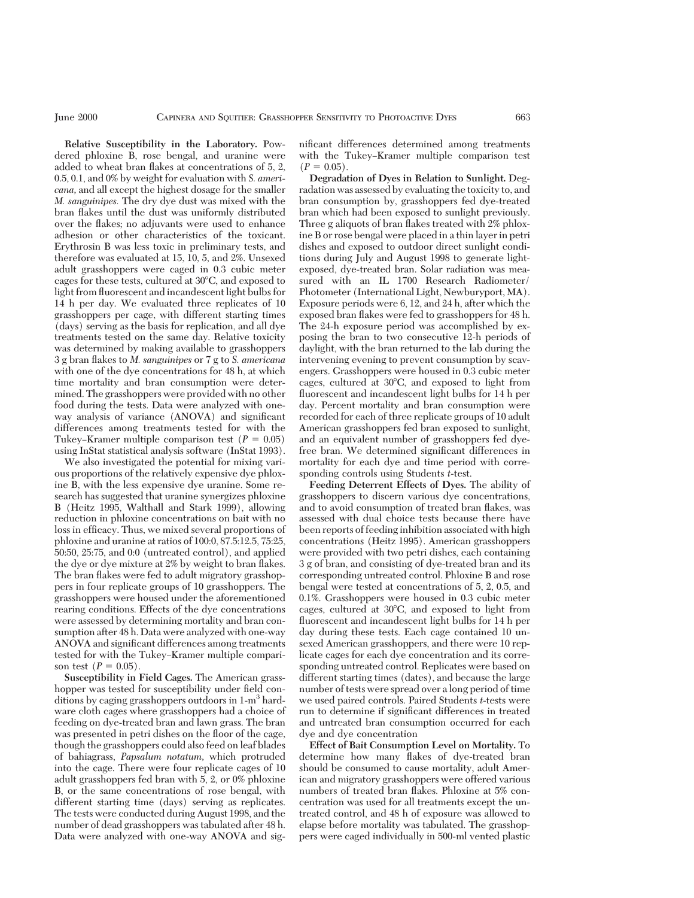**Relative Susceptibility in the Laboratory.** Powdered phloxine B, rose bengal, and uranine were added to wheat bran flakes at concentrations of 5, 2, 0.5, 0.1, and 0% by weight for evaluation with *S. americana,* and all except the highest dosage for the smaller *M. sanguinipes.* The dry dye dust was mixed with the bran ßakes until the dust was uniformly distributed over the ßakes; no adjuvants were used to enhance adhesion or other characteristics of the toxicant. Erythrosin B was less toxic in preliminary tests, and therefore was evaluated at 15, 10, 5, and 2%. Unsexed adult grasshoppers were caged in 0.3 cubic meter cages for these tests, cultured at  $30^{\circ}$ C, and exposed to light from ßuorescent and incandescent light bulbs for 14 h per day. We evaluated three replicates of 10 grasshoppers per cage, with different starting times (days) serving as the basis for replication, and all dye treatments tested on the same day. Relative toxicity was determined by making available to grasshoppers 3 g bran ßakes to *M. sanguinipes* or 7 g to *S. americana* with one of the dye concentrations for 48 h, at which time mortality and bran consumption were determined. The grasshoppers were provided with no other food during the tests. Data were analyzed with oneway analysis of variance (ANOVA) and significant differences among treatments tested for with the Tukey–Kramer multiple comparison test  $(P = 0.05)$ using InStat statistical analysis software (InStat 1993).

We also investigated the potential for mixing various proportions of the relatively expensive dye phloxine B, with the less expensive dye uranine. Some research has suggested that uranine synergizes phloxine B (Heitz 1995, Walthall and Stark 1999), allowing reduction in phloxine concentrations on bait with no loss in efficacy. Thus, we mixed several proportions of phloxine and uranine at ratios of 100:0, 87.5:12.5, 75:25, 50:50, 25:75, and 0:0 (untreated control), and applied the dye or dye mixture at 2% by weight to bran flakes. The bran flakes were fed to adult migratory grasshoppers in four replicate groups of 10 grasshoppers. The grasshoppers were housed under the aforementioned rearing conditions. Effects of the dye concentrations were assessed by determining mortality and bran consumption after 48 h. Data were analyzed with one-way ANOVA and significant differences among treatments tested for with the Tukey–Kramer multiple comparison test  $(P = 0.05)$ .

**Susceptibility in Field Cages.** The American grasshopper was tested for susceptibility under field conditions by caging grasshoppers outdoors in 1-m<sup>3</sup> hardware cloth cages where grasshoppers had a choice of feeding on dye-treated bran and lawn grass. The bran was presented in petri dishes on the floor of the cage, though the grasshoppers could also feed on leaf blades of bahiagrass, *Papsalum notatum,* which protruded into the cage. There were four replicate cages of 10 adult grasshoppers fed bran with 5, 2, or 0% phloxine B, or the same concentrations of rose bengal, with different starting time (days) serving as replicates. The tests were conducted during August 1998, and the number of dead grasshoppers was tabulated after 48 h. Data were analyzed with one-way ANOVA and significant differences determined among treatments with the Tukey-Kramer multiple comparison test  $(P = 0.05)$ .

**Degradation of Dyes in Relation to Sunlight.** Degradation was assessed by evaluating the toxicity to, and bran consumption by, grasshoppers fed dye-treated bran which had been exposed to sunlight previously. Three g aliquots of bran flakes treated with 2% phloxine B or rose bengal were placed in a thin layer in petri dishes and exposed to outdoor direct sunlight conditions during July and August 1998 to generate lightexposed, dye-treated bran. Solar radiation was measured with an IL 1700 Research Radiometer/ Photometer (International Light, Newburyport, MA). Exposure periods were 6, 12, and 24 h, after which the exposed bran ßakes were fed to grasshoppers for 48 h. The 24-h exposure period was accomplished by exposing the bran to two consecutive 12-h periods of daylight, with the bran returned to the lab during the intervening evening to prevent consumption by scavengers. Grasshoppers were housed in 0.3 cubic meter cages, cultured at  $30^{\circ}$ C, and exposed to light from fluorescent and incandescent light bulbs for 14 h per day. Percent mortality and bran consumption were recorded for each of three replicate groups of 10 adult American grasshoppers fed bran exposed to sunlight, and an equivalent number of grasshoppers fed dyefree bran. We determined significant differences in mortality for each dye and time period with corresponding controls using Students *t*-test.

**Feeding Deterrent Effects of Dyes.** The ability of grasshoppers to discern various dye concentrations, and to avoid consumption of treated bran ßakes, was assessed with dual choice tests because there have been reports of feeding inhibition associated with high concentrations (Heitz 1995). American grasshoppers were provided with two petri dishes, each containing 3 g of bran, and consisting of dye-treated bran and its corresponding untreated control. Phloxine B and rose bengal were tested at concentrations of 5, 2, 0.5, and 0.1%. Grasshoppers were housed in 0.3 cubic meter cages, cultured at  $30^{\circ}$ C, and exposed to light from ßuorescent and incandescent light bulbs for 14 h per day during these tests. Each cage contained 10 unsexed American grasshoppers, and there were 10 replicate cages for each dye concentration and its corresponding untreated control. Replicates were based on different starting times (dates), and because the large number of tests were spread over a long period of time we used paired controls. Paired Students *t*-tests were run to determine if significant differences in treated and untreated bran consumption occurred for each dye and dye concentration

**Effect of Bait Consumption Level on Mortality.** To determine how many ßakes of dye-treated bran should be consumed to cause mortality, adult American and migratory grasshoppers were offered various numbers of treated bran flakes. Phloxine at 5% concentration was used for all treatments except the untreated control, and 48 h of exposure was allowed to elapse before mortality was tabulated. The grasshoppers were caged individually in 500-ml vented plastic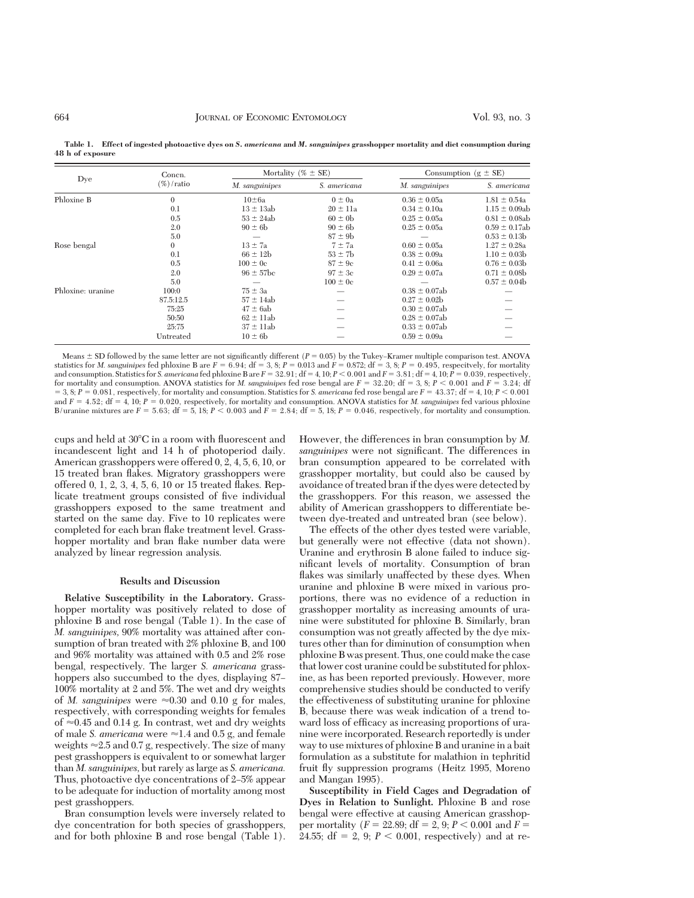| Dye               | Concn.<br>$(\%)$ / ratio | Mortality (% $\pm$ SE) |              | Consumption ( $g \pm SE$ ) |                    |  |
|-------------------|--------------------------|------------------------|--------------|----------------------------|--------------------|--|
|                   |                          | M. sanguinipes         | S. americana | M. sanguinipes             | S. americana       |  |
| Phloxine B        | $\mathbf{0}$             | $10\pm 6a$             | $0 \pm 0a$   | $0.36 \pm 0.05a$           | $1.81 \pm 0.54a$   |  |
|                   | 0.1                      | $13 \pm 13ab$          | $20 \pm 11a$ | $0.34 \pm 0.10a$           | $1.15 \pm 0.09$ ab |  |
|                   | 0.5                      | $53 \pm 24ab$          | $60 \pm 0$   | $0.25 \pm 0.05a$           | $0.81 \pm 0.08$ ab |  |
|                   | 2.0                      | $90 \pm 6b$            | $90 \pm 6b$  | $0.25 \pm 0.05a$           | $0.59 \pm 0.17$ ab |  |
|                   | 5.0                      |                        | $87 \pm 9$ b |                            | $0.53 \pm 0.13$    |  |
| Rose bengal       | $\mathbf{0}$             | $13 \pm 7a$            | $7 \pm 7a$   | $0.60 \pm 0.05a$           | $1.27 \pm 0.28a$   |  |
|                   | 0.1                      | $66 \pm 12b$           | $53 \pm 7b$  | $0.38 \pm 0.09a$           | $1.10 \pm 0.03$    |  |
|                   | 0.5                      | $100 \pm 0c$           | $87 \pm 9$ c | $0.41 \pm 0.06a$           | $0.76 \pm 0.03$    |  |
|                   | 2.0                      | $96 \pm 57$ bc         | $97 \pm 3c$  | $0.29 \pm 0.07a$           | $0.71 \pm 0.08$    |  |
|                   | 5.0                      |                        | $100 \pm 0c$ |                            | $0.57 \pm 0.04$    |  |
| Phloxine: uranine | 100:0                    | $75 \pm 3a$            |              | $0.38 \pm 0.07$ ab         |                    |  |
|                   | 87.5:12.5                | $57 \pm 14ab$          |              | $0.27 \pm 0.02b$           |                    |  |
|                   | 75:25                    | $47 \pm 6ab$           |              | $0.30 \pm 0.07$ ab         |                    |  |
|                   | 50:50                    | $62 \pm 11$ ab         |              | $0.28 \pm 0.07$ ab         |                    |  |
|                   | 25:75                    | $37 \pm 11ab$          |              | $0.33 \pm 0.07$ ab         |                    |  |
|                   | Untreated                | $10 \pm 6b$            |              | $0.59 \pm 0.09a$           |                    |  |

**Table 1. Effect of ingested photoactive dyes on** *S. americana* **and** *M. sanguinipes* **grasshopper mortality and diet consumption during 48 h of exposure**

Means  $\pm$  SD followed by the same letter are not significantly different ( $P = 0.05$ ) by the Tukey–Kramer multiple comparison test. ANOVA statistics for *M. sanguinipes* fed phloxine B are  $F = 6.94$ ; df = 3, 8;  $P = 0.013$  and  $F = 0.872$ ; df = 3, 8;  $P = 0.495$ , respecitvely, for mortality and consumption. Statistics for *S. americana* fed phloxine  $B$  are  $F = 32.91$ ; df = 4, 10;  $P < 0.001$  and  $F = 3.81$ ; df = 4, 10;  $\dot{P} = 0.039$ , respectively, for mortality and consumption. ANOVA statistics for *M. sanguinipes* fed rose bengal are  $F = 32.20$ ; df = 3, 8;  $P < 0.001$  and  $F = 3.24$ ; df  $= 3, 8; P = 0.081$ , respectively, for mortality and consumption. Statistics for *S. americana* fed rose bengal are  $F = 43.37$ ; df  $= 4, 10; P < 0.001$ and  $F = 4.52$ ; df =  $4$ , 10;  $P = 0.020$ , respectively, for mortality and consumption. ANOVA statistics for *M. sanguinipes* fed various phloxine B/uranine mixtures are  $\bar{F} = 5.63$ ; df = 5, 18;  $P < 0.003$  and  $\bar{F} = 2.84$ ; df = 5, 18;  $P = 0.046$ , respectively, for mortality and consumption.

cups and held at  $30^{\circ}$ C in a room with fluorescent and incandescent light and 14 h of photoperiod daily. American grasshoppers were offered 0, 2, 4, 5, 6, 10, or 15 treated bran ßakes. Migratory grasshoppers were offered 0, 1, 2, 3, 4, 5, 6, 10 or 15 treated ßakes. Replicate treatment groups consisted of five individual grasshoppers exposed to the same treatment and started on the same day. Five to 10 replicates were completed for each bran ßake treatment level. Grasshopper mortality and bran flake number data were analyzed by linear regression analysis.

#### **Results and Discussion**

**Relative Susceptibility in the Laboratory.** Grasshopper mortality was positively related to dose of phloxine B and rose bengal (Table 1). In the case of *M. sanguinipes,* 90% mortality was attained after consumption of bran treated with 2% phloxine B, and 100 and 96% mortality was attained with 0.5 and 2% rose bengal, respectively. The larger *S. americana* grasshoppers also succumbed to the dyes, displaying 87– 100% mortality at 2 and 5%. The wet and dry weights of *M. sanguinipes* were  $\approx 0.30$  and 0.10 g for males, respectively, with corresponding weights for females of  $\approx 0.45$  and 0.14 g. In contrast, wet and dry weights of male *S. americana* were  $\approx$  1.4 and 0.5 g, and female weights  $\approx$  2.5 and 0.7 g, respectively. The size of many pest grasshoppers is equivalent to or somewhat larger than *M. sanguinipes,* but rarely as large as *S. americana.* Thus, photoactive dye concentrations of 2–5% appear to be adequate for induction of mortality among most pest grasshoppers.

Bran consumption levels were inversely related to dye concentration for both species of grasshoppers, and for both phloxine B and rose bengal (Table 1).

However, the differences in bran consumption by *M. sanguinipes* were not significant. The differences in bran consumption appeared to be correlated with grasshopper mortality, but could also be caused by avoidance of treated bran if the dyes were detected by the grasshoppers. For this reason, we assessed the ability of American grasshoppers to differentiate between dye-treated and untreated bran (see below).

The effects of the other dyes tested were variable, but generally were not effective (data not shown). Uranine and erythrosin B alone failed to induce significant levels of mortality. Consumption of bran flakes was similarly unaffected by these dyes. When uranine and phloxine B were mixed in various proportions, there was no evidence of a reduction in grasshopper mortality as increasing amounts of uranine were substituted for phloxine B. Similarly, bran consumption was not greatly affected by the dye mixtures other than for diminution of consumption when phloxine B was present. Thus, one could make the case that lower cost uranine could be substituted for phloxine, as has been reported previously. However, more comprehensive studies should be conducted to verify the effectiveness of substituting uranine for phloxine B, because there was weak indication of a trend toward loss of efficacy as increasing proportions of uranine were incorporated. Research reportedly is under way to use mixtures of phloxine B and uranine in a bait formulation as a substitute for malathion in tephritid fruit ßy suppression programs (Heitz 1995, Moreno and Mangan 1995).

**Susceptibility in Field Cages and Degradation of Dyes in Relation to Sunlight.** Phloxine B and rose bengal were effective at causing American grasshopper mortality  $(F = 22.89; df = 2, 9; P < 0.001$  and  $F =$ 24.55;  $df = 2$ , 9;  $P < 0.001$ , respectively) and at re-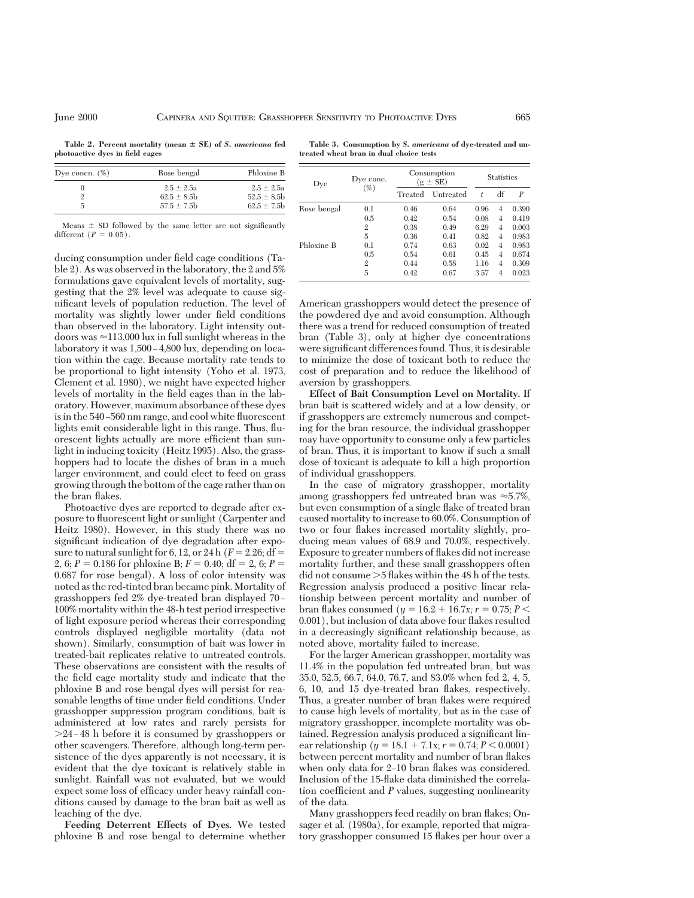Table 2. Percent mortality (mean  $\pm$  SE) of *S. americana* fed **photoactive dyes in field cages**

**Table 3. Consumption by** *S. americana* **of dye-treated and untreated wheat bran in dual choice tests**

| Dye concn. $(\%)$ | Rose bengal                                        | Phloxine B                                         |  |  |
|-------------------|----------------------------------------------------|----------------------------------------------------|--|--|
| 5.                | $2.5 \pm 2.5a$<br>$62.5 \pm 8.5$<br>$57.5 \pm 7.5$ | $2.5 \pm 2.5a$<br>$52.5 \pm 8.5$<br>$62.5 \pm 7.5$ |  |  |

Means  $\pm$  SD followed by the same letter are not significantly different  $(P = 0.05)$ .

ducing consumption under field cage conditions (Table 2). As was observed in the laboratory, the 2 and 5% formulations gave equivalent levels of mortality, suggesting that the 2% level was adequate to cause significant levels of population reduction. The level of mortality was slightly lower under field conditions than observed in the laboratory. Light intensity outdoors was  $\approx$ 113,000 lux in full sunlight whereas in the laboratory it was  $1,500 - 4,800$  lux, depending on location within the cage. Because mortality rate tends to be proportional to light intensity (Yoho et al. 1973, Clement et al. 1980), we might have expected higher levels of mortality in the field cages than in the laboratory. However, maximum absorbance of these dyes is in the 540–560 nm range, and cool white fluorescent lights emit considerable light in this range. Thus, fluorescent lights actually are more efficient than sunlight in inducing toxicity (Heitz 1995). Also, the grasshoppers had to locate the dishes of bran in a much larger environment, and could elect to feed on grass growing through the bottom of the cage rather than on the bran flakes.

Photoactive dyes are reported to degrade after exposure to ßuorescent light or sunlight (Carpenter and Heitz 1980). However, in this study there was no significant indication of dye degradation after exposure to natural sunlight for 6, 12, or 24 h  $(F = 2.26; df =$ 2, 6;  $P = 0.186$  for phloxine B;  $F = 0.40$ ; df = 2, 6;  $P =$ 0.687 for rose bengal). A loss of color intensity was noted as the red-tinted bran became pink. Mortality of grasshoppers fed 2% dye-treated bran displayed 70-100% mortality within the 48-h test period irrespective of light exposure period whereas their corresponding controls displayed negligible mortality (data not shown). Similarly, consumption of bait was lower in treated-bait replicates relative to untreated controls. These observations are consistent with the results of the field cage mortality study and indicate that the phloxine B and rose bengal dyes will persist for reasonable lengths of time under field conditions. Under grasshopper suppression program conditions, bait is administered at low rates and rarely persists for  $>24-48$  h before it is consumed by grasshoppers or other scavengers. Therefore, although long-term persistence of the dyes apparently is not necessary, it is evident that the dye toxicant is relatively stable in sunlight. Rainfall was not evaluated, but we would expect some loss of efficacy under heavy rainfall conditions caused by damage to the bran bait as well as leaching of the dye.

**Feeding Deterrent Effects of Dyes.** We tested phloxine B and rose bengal to determine whether

| Dye         | Dye conc.<br>(%) | Consumption<br>$(g \pm SE)$ |           | <b>Statistics</b> |    |       |
|-------------|------------------|-----------------------------|-----------|-------------------|----|-------|
|             |                  | Treated                     | Untreated | t                 | df | P     |
| Rose bengal | 0.1              | 0.46                        | 0.64      | 0.96              | 4  | 0.390 |
|             | 0.5              | 0.42                        | 0.54      | 0.08              | 4  | 0.419 |
|             | $\overline{2}$   | 0.38                        | 0.49      | 6.29              | 4  | 0.003 |
|             | 5                | 0.36                        | 0.41      | 0.82              | 4  | 0.983 |
| Phloxine B  | 0.1              | 0.74                        | 0.63      | 0.02              | 4  | 0.983 |
|             | 0.5              | 0.54                        | 0.61      | 0.45              | 4  | 0.674 |
|             | $\overline{2}$   | 0.44                        | 0.58      | 1.16              | 4  | 0.309 |
|             | 5                | 0.42                        | 0.67      | 3.57              | 4  | 0.023 |

American grasshoppers would detect the presence of the powdered dye and avoid consumption. Although there was a trend for reduced consumption of treated bran (Table 3), only at higher dye concentrations were significant differences found. Thus, it is desirable to minimize the dose of toxicant both to reduce the cost of preparation and to reduce the likelihood of aversion by grasshoppers.

**Effect of Bait Consumption Level on Mortality.** If bran bait is scattered widely and at a low density, or if grasshoppers are extremely numerous and competing for the bran resource, the individual grasshopper may have opportunity to consume only a few particles of bran. Thus, it is important to know if such a small dose of toxicant is adequate to kill a high proportion of individual grasshoppers.

In the case of migratory grasshopper, mortality among grasshoppers fed untreated bran was  $\approx 5.7\%$ , but even consumption of a single ßake of treated bran caused mortality to increase to 60.0%. Consumption of two or four ßakes increased mortality slightly, producing mean values of 68.9 and 70.0%, respectively. Exposure to greater numbers of ßakes did not increase mortality further, and these small grasshoppers often did not consume  $>5$  flakes within the 48 h of the tests. Regression analysis produced a positive linear relationship between percent mortality and number of bran flakes consumed ( $y = 16.2 + 16.7x$ ;  $r = 0.75$ ;  $P <$ 0.001), but inclusion of data above four ßakes resulted in a decreasingly significant relationship because, as noted above, mortality failed to increase.

For the larger American grasshopper, mortality was 11.4% in the population fed untreated bran, but was 35.0, 52.5, 66.7, 64.0, 76.7, and 83.0% when fed 2, 4, 5, 6, 10, and 15 dye-treated bran ßakes, respectively. Thus, a greater number of bran flakes were required to cause high levels of mortality, but as in the case of migratory grasshopper, incomplete mortality was obtained. Regression analysis produced a significant linear relationship ( $y = 18.1 + 7.1x$ ;  $r = 0.74$ ;  $P < 0.0001$ ) between percent mortality and number of bran flakes when only data for 2–10 bran flakes was considered. Inclusion of the 15-ßake data diminished the correlation coefficient and *P* values, suggesting nonlinearity of the data.

Many grasshoppers feed readily on bran flakes; Onsager et al. (1980a), for example, reported that migratory grasshopper consumed 15 ßakes per hour over a